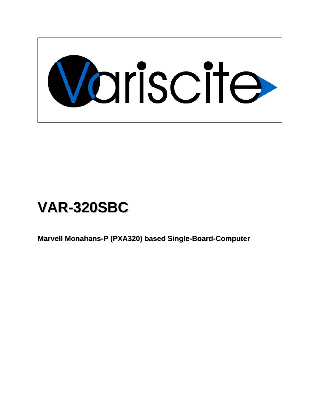

# **VAR-320SBC**

**Marvell Monahans-P (PXA320) based Single-Board-Computer**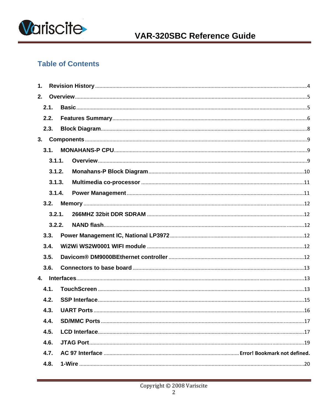

# **Table of Contents**

| 1. |        |  |  |
|----|--------|--|--|
| 2. |        |  |  |
|    | 2.1.   |  |  |
|    | 2.2.   |  |  |
|    | 2.3.   |  |  |
|    |        |  |  |
|    | 3.1.   |  |  |
|    | 3.1.1. |  |  |
|    | 3.1.2. |  |  |
|    | 3.1.3. |  |  |
|    | 3.1.4. |  |  |
|    | 3.2.   |  |  |
|    | 3.2.1. |  |  |
|    | 3.2.2. |  |  |
|    | 3.3.   |  |  |
|    | 3.4.   |  |  |
|    | 3.5.   |  |  |
|    | 3.6.   |  |  |
|    |        |  |  |
|    | 4.1.   |  |  |
|    | 4.2.   |  |  |
|    | 4.3.   |  |  |
|    | 4.4.   |  |  |
|    | 4.5.   |  |  |
|    | 4.6.   |  |  |
|    | 4.7.   |  |  |
|    | 4.8.   |  |  |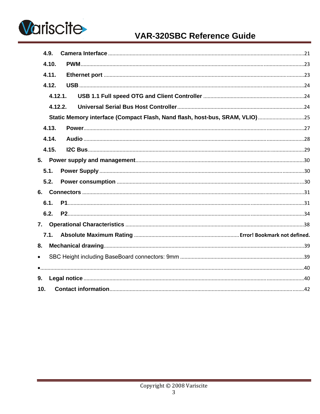

# **VAR-320SBC Reference Guide**

| 4.9.      |                                                                             |  |
|-----------|-----------------------------------------------------------------------------|--|
| 4.10.     |                                                                             |  |
| 4.11.     |                                                                             |  |
| 4.12.     |                                                                             |  |
|           | 4.12.1.                                                                     |  |
|           | 4.12.2.                                                                     |  |
|           | Static Memory interface (Compact Flash, Nand flash, host-bus, SRAM, VLIO)25 |  |
| 4.13.     |                                                                             |  |
| 4.14.     |                                                                             |  |
| 4.15.     |                                                                             |  |
|           |                                                                             |  |
| 5.1.      |                                                                             |  |
| 5.2.      |                                                                             |  |
|           |                                                                             |  |
| 6.1.      |                                                                             |  |
| 6.2.      |                                                                             |  |
|           |                                                                             |  |
| 7.1.      |                                                                             |  |
| 8.        |                                                                             |  |
| $\bullet$ |                                                                             |  |
|           |                                                                             |  |
| 9.        |                                                                             |  |
| 10.       |                                                                             |  |
|           |                                                                             |  |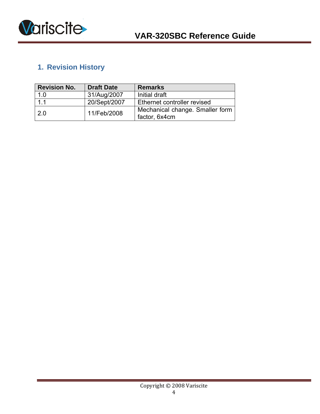<span id="page-3-0"></span>

# **1. Revision History**

| <b>Revision No.</b> | <b>Draft Date</b> | <b>Remarks</b>                                   |
|---------------------|-------------------|--------------------------------------------------|
| 1.0                 | 31/Aug/2007       | Initial draft                                    |
| 1.1                 | 20/Sept/2007      | Ethernet controller revised                      |
| $\overline{2.0}$    | 11/Feb/2008       | Mechanical change. Smaller form<br>factor, 6x4cm |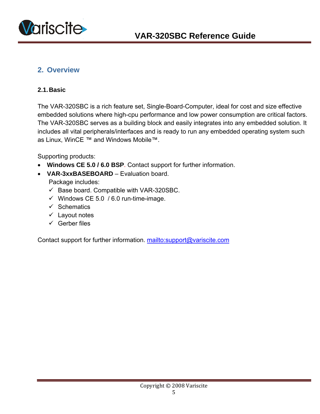<span id="page-4-0"></span>

# **2. Overview**

#### **2.1. Basic**

The VAR-320SBC is a rich feature set, Single-Board-Computer, ideal for cost and size effective embedded solutions where high-cpu performance and low power consumption are critical factors. The VAR-320SBC serves as a building block and easily integrates into any embedded solution. It includes all vital peripherals/interfaces and is ready to run any embedded operating system such as Linux, WinCE ™ and Windows Mobile™.

Supporting products:

- **Windows CE 5.0 / 6.0 BSP**. Contact support for further information.
- **VAR-3xxBASEBOARD** Evaluation board. Package includes:
	- $\checkmark$  Base board. Compatible with VAR-320SBC.
	- $\checkmark$  Windows CE 5.0 / 6.0 run-time-image.
	- $\checkmark$  Schematics
	- $\checkmark$  Layout notes
	- $\checkmark$  Gerber files

Contact support for further information. mailto:support@variscite.com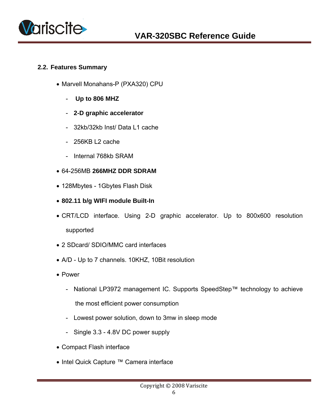<span id="page-5-0"></span>

#### **2.2. Features Summary**

- Marvell Monahans-P (PXA320) CPU
	- - **Up to 806 MHZ**
	- **2-D graphic accelerator**
	- 32kb/32kb Inst/ Data L1 cache
	- $-$  256KB L2 cache
	- Internal 768kb SRAM
- 64-256MB **266MHZ DDR SDRAM**
- 128Mbytes 1Gbytes Flash Disk
- **802.11 b/g WIFI module Built-In**
- CRT/LCD interface. Using 2-D graphic accelerator. Up to 800x600 resolution supported
- 2 SDcard/ SDIO/MMC card interfaces
- A/D Up to 7 channels. 10KHZ, 10Bit resolution
- Power
	- National LP3972 management IC. Supports SpeedStep™ technology to achieve the most efficient power consumption
	- Lowest power solution, down to 3mw in sleep mode
	- Single 3.3 4.8V DC power supply
- Compact Flash interface
- Intel Quick Capture ™ Camera interface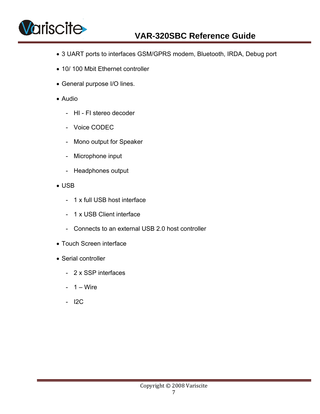

- 3 UART ports to interfaces GSM/GPRS modem, Bluetooth, IRDA, Debug port
- 10/ 100 Mbit Ethernet controller
- General purpose I/O lines.
- Audio
	- HI FI stereo decoder
	- Voice CODEC
	- Mono output for Speaker
	- Microphone input
	- Headphones output
- USB
	- 1 x full USB host interface
	- 1 x USB Client interface
	- Connects to an external USB 2.0 host controller
- Touch Screen interface
- Serial controller
	- 2 x SSP interfaces
	- $1 Wire$
	- I2C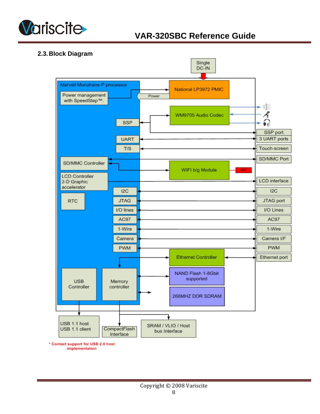<span id="page-7-0"></span>

#### **2.3. Block Diagram**

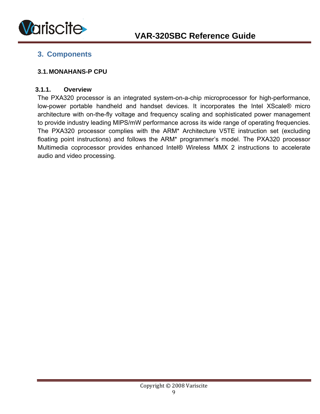<span id="page-8-0"></span>

# **3. Components**

#### **3.1. MONAHANS-P CPU**

#### **3.1.1. Overview**

The PXA320 processor is an integrated system-on-a-chip microprocessor for high-performance, low-power portable handheld and handset devices. It incorporates the Intel XScale® micro architecture with on-the-fly voltage and frequency scaling and sophisticated power management to provide industry leading MIPS/mW performance across its wide range of operating frequencies. The PXA320 processor complies with the ARM\* Architecture V5TE instruction set (excluding floating point instructions) and follows the ARM\* programmer's model. The PXA320 processor Multimedia coprocessor provides enhanced Intel® Wireless MMX 2 instructions to accelerate audio and video processing.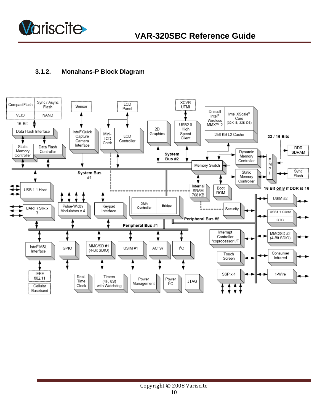<span id="page-9-0"></span>

### **3.1.2. Monahans-P Block Diagram**

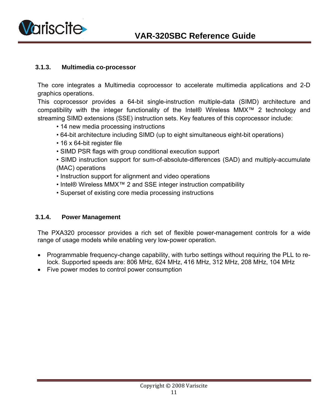<span id="page-10-0"></span>

#### **3.1.3. Multimedia co-processor**

The core integrates a Multimedia coprocessor to accelerate multimedia applications and 2-D graphics operations.

This coprocessor provides a 64-bit single-instruction multiple-data (SIMD) architecture and compatibility with the integer functionality of the Intel® Wireless MMX™ 2 technology and streaming SIMD extensions (SSE) instruction sets. Key features of this coprocessor include:

- 14 new media processing instructions
- 64-bit architecture including SIMD (up to eight simultaneous eight-bit operations)
- 16 x 64-bit register file
- SIMD PSR flags with group conditional execution support
- SIMD instruction support for sum-of-absolute-differences (SAD) and multiply-accumulate (MAC) operations
- Instruction support for alignment and video operations
- Intel® Wireless MMX™ 2 and SSE integer instruction compatibility
- Superset of existing core media processing instructions

#### **3.1.4. Power Management**

The PXA320 processor provides a rich set of flexible power-management controls for a wide range of usage models while enabling very low-power operation.

- Programmable frequency-change capability, with turbo settings without requiring the PLL to relock. Supported speeds are: 806 MHz, 624 MHz, 416 MHz, 312 MHz, 208 MHz, 104 MHz
- Five power modes to control power consumption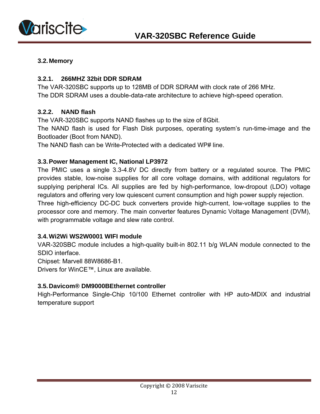<span id="page-11-0"></span>

#### **3.2. Memory**

#### **3.2.1. 266MHZ 32bit DDR SDRAM**

The VAR-320SBC supports up to 128MB of DDR SDRAM with clock rate of 266 MHz. The DDR SDRAM uses a double-data-rate architecture to achieve high-speed operation.

#### **3.2.2. NAND flash**

The VAR-320SBC supports NAND flashes up to the size of 8Gbit.

The NAND flash is used for Flash Disk purposes, operating system's run-time-image and the Bootloader (Boot from NAND).

The NAND flash can be Write-Protected with a dedicated WP# line.

#### **3.3. Power Management IC, National LP3972**

The PMIC uses a single 3.3-4.8V DC directly from battery or a regulated source. The PMIC provides stable, low-noise supplies for all core voltage domains, with additional regulators for supplying peripheral ICs. All supplies are fed by high-performance, low-dropout (LDO) voltage regulators and offering very low quiescent current consumption and high power supply rejection. Three high-efficiency DC-DC buck converters provide high-current, low-voltage supplies to the processor core and memory. The main converter features Dynamic Voltage Management (DVM), with programmable voltage and slew rate control.

#### **3.4. Wi2Wi WS2W0001 WIFI module**

VAR-320SBC module includes a high-quality built-in 802.11 b/g WLAN module connected to the SDIO interface.

Chipset: Marvell 88W8686-B1.

Drivers for WinCE™, Linux are available.

#### **3.5. Davicom® DM9000BEthernet controller**

High-Performance Single-Chip 10/100 Ethernet controller with HP auto-MDIX and industrial temperature support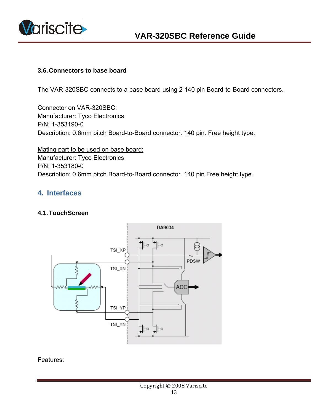<span id="page-12-0"></span>

#### **3.6. Connectors to base board**

The VAR-320SBC connects to a base board using 2 140 pin Board-to-Board connectors.

Connector on VAR-320SBC: Manufacturer: Tyco Electronics P/N: 1-353190-0 Description: 0.6mm pitch Board-to-Board connector. 140 pin. Free height type.

Mating part to be used on base board: Manufacturer: Tyco Electronics P/N: 1-353180-0 Description: 0.6mm pitch Board-to-Board connector. 140 pin Free height type.

### **4. Interfaces**

#### **4.1. TouchScreen**

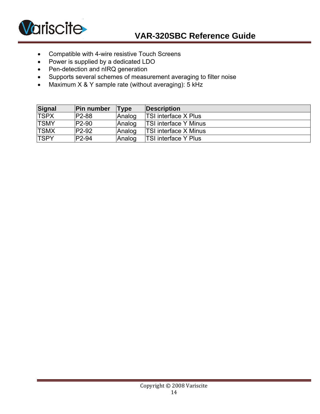

- Compatible with 4-wire resistive Touch Screens
- Power is supplied by a dedicated LDO
- Pen-detection and nIRQ generation
- Supports several schemes of measurement averaging to filter noise
- Maximum X & Y sample rate (without averaging): 5 kHz

| Signal      | <b>Pin number</b>  | <b>Type</b> | Description                  |
|-------------|--------------------|-------------|------------------------------|
| <b>TSPX</b> | <b>P2-88</b>       | Analog      | <b>TSI interface X Plus</b>  |
| <b>TSMY</b> | P <sub>2-90</sub>  | Analog      | <b>TSI interface Y Minus</b> |
| <b>TSMX</b> | P <sub>2</sub> -92 | Analog      | <b>TSI interface X Minus</b> |
| <b>TSPY</b> | P <sub>2-94</sub>  | Analog      | <b>TSI interface Y Plus</b>  |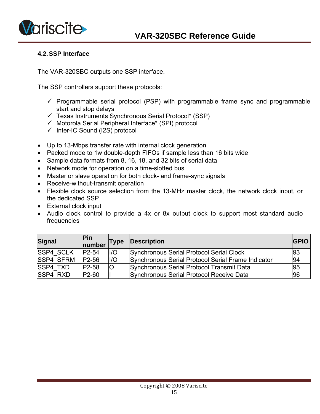<span id="page-14-0"></span>

#### **4.2. SSP Interface**

The VAR-320SBC outputs one SSP interface.

The SSP controllers support these protocols:

- $\checkmark$  Programmable serial protocol (PSP) with programmable frame sync and programmable start and stop delays
- $\checkmark$  Texas Instruments Synchronous Serial Protocol\* (SSP)
- $\checkmark$  Motorola Serial Peripheral Interface\* (SPI) protocol
- $\checkmark$  Inter-IC Sound (I2S) protocol
- Up to 13-Mbps transfer rate with internal clock generation
- Packed mode to 1w double-depth FIFOs if sample less than 16 bits wide
- Sample data formats from 8, 16, 18, and 32 bits of serial data
- Network mode for operation on a time-slotted bus
- Master or slave operation for both clock- and frame-sync signals
- Receive-without-transmit operation
- Flexible clock source selection from the 13-MHz master clock, the network clock input, or the dedicated SSP
- External clock input
- Audio clock control to provide a 4x or 8x output clock to support most standard audio frequencies

| <b>Signal</b>    | <b>Pin</b><br>number | Type | Description                                        | <b>GPIO</b> |
|------------------|----------------------|------|----------------------------------------------------|-------------|
| <b>SSP4 SCLK</b> | P <sub>2</sub> -54   | II/O | Synchronous Serial Protocol Serial Clock           | 93          |
| <b>SSP4 SFRM</b> | P <sub>2</sub> -56   | I/O  | Synchronous Serial Protocol Serial Frame Indicator | 94          |
| <b>ISSP4 TXD</b> | P <sub>2</sub> -58   | O    | Synchronous Serial Protocol Transmit Data          | 95          |
| <b>SSP4 RXD</b>  | P <sub>2</sub> -60   |      | Synchronous Serial Protocol Receive Data           | 96          |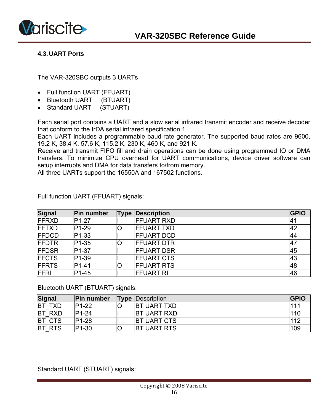<span id="page-15-0"></span>

#### **4.3. UART Ports**

The VAR-320SBC outputs 3 UARTs

- Full function UART (FFUART)
- Bluetooth UART (BTUART)
- Standard UART (STUART)

Each serial port contains a UART and a slow serial infrared transmit encoder and receive decoder that conform to the IrDA serial infrared specification.1

Each UART includes a programmable baud-rate generator. The supported baud rates are 9600, 19.2 K, 38.4 K, 57.6 K, 115.2 K, 230 K, 460 K, and 921 K.

Receive and transmit FIFO fill and drain operations can be done using programmed IO or DMA transfers. To minimize CPU overhead for UART communications, device driver software can setup interrupts and DMA for data transfers to/from memory.

All three UARTs support the 16550A and 167502 functions.

| <b>Signal</b> | Pin number         | <b>Type</b> | Description        | <b>GPIO</b> |
|---------------|--------------------|-------------|--------------------|-------------|
| <b>FFRXD</b>  | P <sub>1</sub> -27 |             | <b>FFUART RXD</b>  | 141         |
| <b>IFFTXD</b> | P <sub>1</sub> -29 | O           | <b>IFFUART TXD</b> | 42          |
| <b>FFDCD</b>  | P <sub>1</sub> -33 |             | <b>FFUART DCD</b>  | 44          |
| <b>FFDTR</b>  | P <sub>1</sub> -35 | O           | <b>FFUART DTR</b>  | 47          |
| <b>FFDSR</b>  | P <sub>1</sub> -37 |             | <b>FFUART DSR</b>  | 45          |
| <b>FFCTS</b>  | P <sub>1</sub> -39 |             | <b>FFUART CTS</b>  | 43          |
| <b>FFRTS</b>  | $P1-41$            | O           | <b>FFUART RTS</b>  | 48          |
| <b>FFRI</b>   | P <sub>1-45</sub>  |             | <b> FFUART RI</b>  | 46          |

Full function UART (FFUART) signals:

Bluetooth UART (BTUART) signals:

| Signal                  | <b>Pin number</b>  | <b>Type</b> | Description         | <b>IGPIO</b> |
|-------------------------|--------------------|-------------|---------------------|--------------|
| BT 1<br><b>TXD</b>      | P <sub>1</sub> -22 |             | <b>IBT UART TXD</b> | 111          |
| <b>RXD</b><br>IBT       | P <sub>1</sub> -24 |             | <b>IBT UART RXD</b> | 110          |
| <b>CTS</b><br><b>BT</b> | P <sub>1</sub> -28 |             | <b>IBT UART CTS</b> | 112          |
| <b>RTS</b><br>IBT       | P1-30              |             | <b>BT UART RTS</b>  | 109          |

Standard UART (STUART) signals: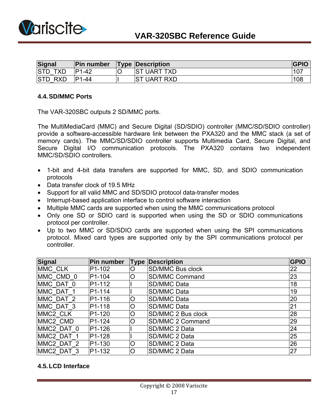<span id="page-16-0"></span>

| Signal                   | Pin number         |    | <b>Type Description</b> | <b>GPIO</b> |
|--------------------------|--------------------|----|-------------------------|-------------|
| <b>STD</b><br><b>TXD</b> | ID1<br>$-42$       | IC | <b>IST UART TXD</b>     |             |
| <b>STD</b><br><b>RXD</b> | P <sub>1</sub> -44 |    | <b>ST UART RXD</b>      | 108         |

#### **4.4. SD/MMC Ports**

The VAR-320SBC outputs 2 SD/MMC ports.

The MultiMediaCard (MMC) and Secure Digital (SD/SDIO) controller (MMC/SD/SDIO controller) provide a software-accessible hardware link between the PXA320 and the MMC stack (a set of memory cards). The MMC/SD/SDIO controller supports Multimedia Card, Secure Digital, and Secure Digital I/O communication protocols. The PXA320 contains two independent MMC/SD/SDIO controllers.

- 1-bit and 4-bit data transfers are supported for MMC, SD, and SDIO communication protocols
- Data transfer clock of 19.5 MHz
- Support for all valid MMC and SD/SDIO protocol data-transfer modes
- Interrupt-based application interface to control software interaction
- Multiple MMC cards are supported when using the MMC communications protocol
- Only one SD or SDIO card is supported when using the SD or SDIO communications protocol per controller.
- Up to two MMC or SD/SDIO cards are supported when using the SPI communications protocol. Mixed card types are supported only by the SPI communications protocol per controller.

| <b>Signal</b>        | Pin number          | <b>Type</b> | Description             | <b>GPIO</b> |
|----------------------|---------------------|-------------|-------------------------|-------------|
| MMC CLK              | P <sub>1</sub> -102 | O           | <b>SD/MMC Bus clock</b> | 22          |
| MMC CMD 0            | P <sub>1</sub> -104 | O           | <b>SD/MMC Command</b>   | 23          |
| MMC DAT 0            | P <sub>1</sub> -112 |             | SD/MMC Data             | 18          |
| MMC DAT 1            | P <sub>1</sub> -114 |             | <b>SD/MMC Data</b>      | 19          |
| MMC DAT 2            | P <sub>1</sub> -116 | O           | <b>SD/MMC Data</b>      | 20          |
| MMC DAT 3            | P <sub>1</sub> -118 | $\circ$     | <b>SD/MMC Data</b>      | 21          |
| MMC <sub>2</sub> CLK | P <sub>1</sub> -120 | O           | SD/MMC 2 Bus clock      | 28          |
| MMC <sub>2</sub> CMD | P <sub>1</sub> -124 | O           | SD/MMC 2 Command        | 29          |
| MMC2 DAT 0           | P <sub>1</sub> -126 |             | SD/MMC 2 Data           | 24          |
| MMC2 DAT 1           | P <sub>1</sub> -128 |             | SD/MMC 2 Data           | 25          |
| MMC2 DAT 2           | P <sub>1</sub> -130 | O           | SD/MMC 2 Data           | 26          |
| MMC2 DAT 3           | P <sub>1</sub> -132 | Ο           | SD/MMC 2 Data           | 27          |

#### **4.5. LCD Interface**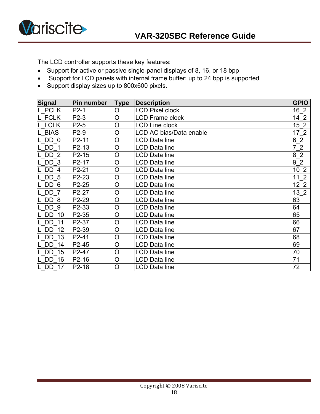

The LCD controller supports these key features:

- Support for active or passive single-panel displays of 8, 16, or 18 bpp
- Support for LCD panels with internal frame buffer; up to 24 bpp is supported
- Support display sizes up to 800x600 pixels.

| Signal          | <b>Pin number</b> | <b>Type</b>    | <b>Description</b>      | <b>GPIO</b>          |
|-----------------|-------------------|----------------|-------------------------|----------------------|
| L PCLK          | $P2-1$            | O              | <b>LCD Pixel clock</b>  | 16 2                 |
| L FCLK          | $P2-3$            | $\overline{O}$ | <b>LCD Frame clock</b>  | $142$                |
| L LCLK          | $P2-5$            | O              | <b>LCD Line clock</b>   | 15 <sub>2</sub>      |
| <b>BIAS</b>     | P2-9              | $\overline{O}$ | LCD AC bias/Data enable | $172$                |
| DD 0            | $P2-11$           | $\overline{O}$ | LCD Data line           | 6 <sup>2</sup>       |
| DD <sub>1</sub> | P2-13             | $\overline{O}$ | <b>LCD Data line</b>    | 72                   |
| DD <sub>2</sub> | P2-15             | $\circ$        | LCD Data line           | $\overline{2}$<br>8  |
| DD <sub>3</sub> | P2-17             | O              | <b>LCD Data line</b>    | 9 <sup>2</sup>       |
| DD 4            | P2-21             | $\overline{O}$ | LCD Data line           | 10 <sub>2</sub>      |
| DD <sub>5</sub> | P2-23             | O              | <b>LCD Data line</b>    | 2<br>11              |
| DD 6            | P2-25             | $\overline{O}$ | <b>LCD Data line</b>    | 12 <sub>2</sub>      |
| DD 7            | P2-27             | $\circ$        | LCD Data line           | $\overline{2}$<br>13 |
| DD 8            | P2-29             | $\overline{O}$ | <b>LCD Data line</b>    | 63                   |
| DD <sub>9</sub> | P2-33             | O              | <b>LCD Data line</b>    | 64                   |
| DD<br>10        | P2-35             | $\circ$        | <b>LCD Data line</b>    | 65                   |
| <b>DD</b><br>11 | P2-37             | $\circ$        | <b>LCD Data line</b>    | 66                   |
| DD 12           | P2-39             | O              | LCD Data line           | 67                   |
| DD<br>13        | P2-41             | $\overline{O}$ | LCD Data line           | 68                   |
| DD<br>14        | P2-45             | $\overline{O}$ | <b>LCD Data line</b>    | 69                   |
| DD<br>15        | P2-47             | $\circ$        | <b>LCD Data line</b>    | 70                   |
| <b>DD</b><br>16 | $P2-16$           | $\overline{O}$ | <b>LCD Data line</b>    | 71                   |
| <b>DD 17</b>    | P2-18             | $\overline{O}$ | LCD Data line           | 72                   |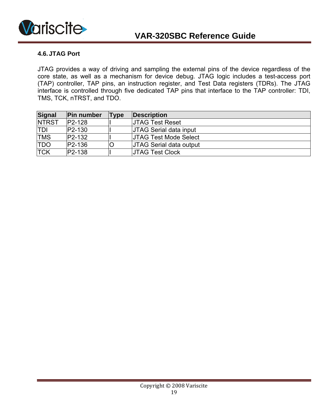<span id="page-18-0"></span>

#### **4.6. JTAG Port**

JTAG provides a way of driving and sampling the external pins of the device regardless of the core state, as well as a mechanism for device debug. JTAG logic includes a test-access port (TAP) controller, TAP pins, an instruction register, and Test Data registers (TDRs). The JTAG interface is controlled through five dedicated TAP pins that interface to the TAP controller: TDI, TMS, TCK, nTRST, and TDO.

| <b>Signal</b> | <b>Pin number</b> | Type | Description                    |
|---------------|-------------------|------|--------------------------------|
| <b>NTRST</b>  | $P2-128$          |      | <b>UTAG Test Reset</b>         |
| <b>TDI</b>    | $ P2-130 $        |      | <b>JTAG Serial data input</b>  |
| <b>TMS</b>    | $P2-132$          |      | <b>UTAG Test Mode Select</b>   |
| <b>TDO</b>    | $P2-136$          |      | <b>JTAG Serial data output</b> |
| <b>TCK</b>    | $ P2-138 $        |      | <b>UTAG Test Clock</b>         |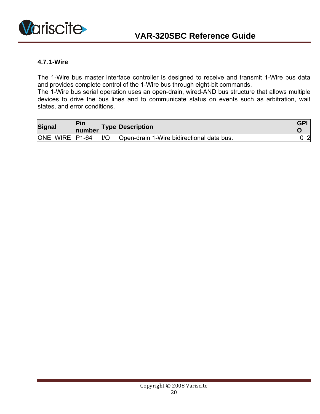<span id="page-19-0"></span>

#### **4.7. 1-Wire**

The 1-Wire bus master interface controller is designed to receive and transmit 1-Wire bus data and provides complete control of the 1-Wire bus through eight-bit commands.

The 1-Wire bus serial operation uses an open-drain, wired-AND bus structure that allows multiple devices to drive the bus lines and to communicate status on events such as arbitration, wait states, and error conditions.

| Signal         | <b>Pin</b><br><b>number</b> |                | <b>Type Description</b>                   | <b>IGP</b> |
|----------------|-----------------------------|----------------|-------------------------------------------|------------|
| ONE WIRE P1-64 |                             | $\overline{U}$ | Open-drain 1-Wire bidirectional data bus. | $\sim$     |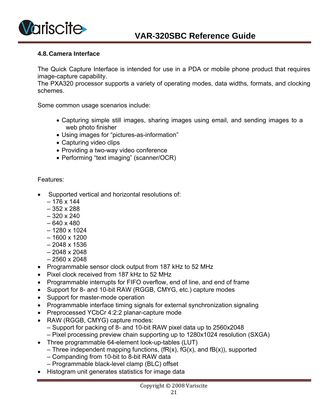<span id="page-20-0"></span>

#### **4.8. Camera Interface**

The Quick Capture Interface is intended for use in a PDA or mobile phone product that requires image-capture capability.

The PXA320 processor supports a variety of operating modes, data widths, formats, and clocking schemes.

Some common usage scenarios include:

- Capturing simple still images, sharing images using email, and sending images to a web photo finisher
- Using images for "pictures-as-information"
- Capturing video clips
- Providing a two-way video conference
- Performing "text imaging" (scanner/OCR)

- Supported vertical and horizontal resolutions of:
	- $-176 \times 144$
	- 352 x 288
	- 320 x 240
	- 640 x 480
	- 1280 x 1024
	- 1600 x 1200
	- 2048 x 1536
	- 2048 x 2048
	- 2560 x 2048
- Programmable sensor clock output from 187 kHz to 52 MHz
- Pixel clock received from 187 kHz to 52 MHz
- Programmable interrupts for FIFO overflow, end of line, and end of frame
- Support for 8- and 10-bit RAW (RGGB, CMYG, etc.) capture modes
- Support for master-mode operation
- Programmable interface timing signals for external synchronization signaling
- Preprocessed YCbCr 4:2:2 planar-capture mode
- RAW (RGGB, CMYG) capture modes:
	- Support for packing of 8- and 10-bit RAW pixel data up to 2560x2048
	- Pixel processing preview chain supporting up to 1280x1024 resolution (SXGA)
- Three programmable 64-element look-up-tables (LUT)
	- Three independent mapping functions,  $(fR(x), fG(x))$ , and  $fR(x)$ , supported
	- Companding from 10-bit to 8-bit RAW data
	- Programmable black-level clamp (BLC) offset
- Histogram unit generates statistics for image data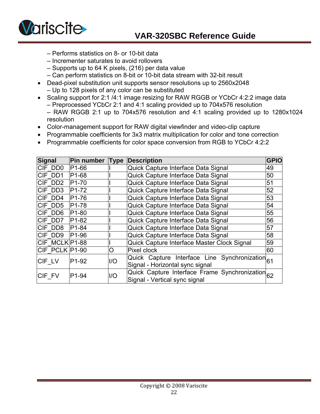

- Performs statistics on 8- or 10-bit data
- Incrementer saturates to avoid rollovers
- Supports up to 64 K pixels, (216) per data value
- Can perform statistics on 8-bit or 10-bit data stream with 32-bit result
- Dead-pixel substitution unit supports sensor resolutions up to 2560x2048 – Up to 128 pixels of any color can be substituted
- Scaling support for 2:1 /4:1 image resizing for RAW RGGB or YCbCr 4:2:2 image data – Preprocessed YCbCr 2:1 and 4:1 scaling provided up to 704x576 resolution – RAW RGGB 2:1 up to 704x576 resolution and 4:1 scaling provided up to 1280x1024 resolution
- Color-management support for RAW digital viewfinder and video-clip capture
- Programmable coefficients for 3x3 matrix multiplication for color and tone correction
- Programmable coefficients for color space conversion from RGB to YCbCr 4:2:2

| <b>Signal</b>  | Pin number Type    |      | <b>Description</b>                               | GPIO |  |
|----------------|--------------------|------|--------------------------------------------------|------|--|
| CIF DD0        | P <sub>1-66</sub>  |      | Quick Capture Interface Data Signal              | 49   |  |
| CIF DD1        | P <sub>1-68</sub>  |      | Quick Capture Interface Data Signal              | 50   |  |
| CIF DD2        | P <sub>1</sub> -70 |      | Quick Capture Interface Data Signal              | 51   |  |
| CIF DD3        | P <sub>1</sub> -72 |      | Quick Capture Interface Data Signal              | 52   |  |
| CIF DD4        | P <sub>1</sub> -76 |      | Quick Capture Interface Data Signal              | 53   |  |
| CIF DD5        | P <sub>1</sub> -78 |      | Quick Capture Interface Data Signal              | 54   |  |
| CIF DD6        | P <sub>1-80</sub>  |      | Quick Capture Interface Data Signal              | 55   |  |
| CIF DD7        | P <sub>1</sub> -82 |      | Quick Capture Interface Data Signal              | 56   |  |
| <b>CIF DD8</b> | P <sub>1-84</sub>  |      | Quick Capture Interface Data Signal              | 57   |  |
| CIF DD9        | P <sub>1-96</sub>  |      | Quick Capture Interface Data Signal              | 58   |  |
| CIF MCLK P1-88 |                    |      | Quick Capture Interface Master Clock Signal      | 59   |  |
| CIF PCLK P1-90 |                    | O    | Pixel clock                                      | 60   |  |
| CIF LV         | P <sub>1</sub> -92 | $II$ | Quick Capture Interface Line Synchronization 61  |      |  |
|                |                    |      | Signal - Horizontal sync signal                  |      |  |
| CIF FV         | P <sub>1-94</sub>  | I/O  | Quick Capture Interface Frame Synchronization 62 |      |  |
|                |                    |      | Signal - Vertical sync signal                    |      |  |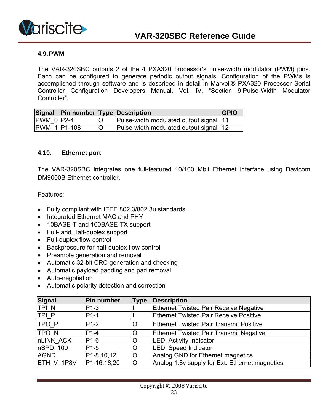<span id="page-22-0"></span>

#### **4.9. PWM**

The VAR-320SBC outputs 2 of the 4 PXA320 processor's pulse-width modulator (PWM) pins. Each can be configured to generate periodic output signals. Configuration of the PWMs is accomplished through software and is described in detail in Marvell® PXA320 Processor Serial Controller Configuration Developers Manual, Vol. IV, "Section 9:Pulse-Width Modulator Controller".

|                   | Signal Pin number Type Description |                                         | <b>IGPIO</b> |
|-------------------|------------------------------------|-----------------------------------------|--------------|
| <b>PWM 0 P2-4</b> |                                    | Pulse-width modulated output signal 11  |              |
| PWM 1 P1-108      |                                    | Pulse-width modulated output signal  12 |              |

#### **4.10. Ethernet port**

The VAR-320SBC integrates one full-featured 10/100 Mbit Ethernet interface using Davicom DM9000B Ethernet controller.

- Fully compliant with IEEE 802.3/802.3u standards
- Integrated Ethernet MAC and PHY
- 10BASE-T and 100BASE-TX support
- Full- and Half-duplex support
- Full-duplex flow control
- Backpressure for half-duplex flow control
- Preamble generation and removal
- Automatic 32-bit CRC generation and checking
- Automatic payload padding and pad removal
- Auto-negotiation
- Automatic polarity detection and correction

| <b>Signal</b> | Pin number               | <b>Type</b> | <b>Description</b>                             |
|---------------|--------------------------|-------------|------------------------------------------------|
| TPI_N         | P <sub>1</sub> -3        |             | <b>Ethernet Twisted Pair Receive Negative</b>  |
| TPI_P         | $P1-1$                   |             | <b>Ethernet Twisted Pair Receive Positive</b>  |
| TPO P         | $P1-2$                   | O           | <b>Ethernet Twisted Pair Transmit Positive</b> |
| <b>TPON</b>   | $P1-4$                   |             | <b>Ethernet Twisted Pair Transmit Negative</b> |
| nLINK ACK     | $P1-6$                   |             | <b>LED, Activity Indicator</b>                 |
| nSPD 100      | $P1-5$                   |             | LED, Speed Indicator                           |
| <b>AGND</b>   | P1-8,10,12               | ΙO          | Analog GND for Ethernet magnetics              |
| ETH V 1P8V    | P <sub>1</sub> -16,18,20 | lO          | Analog 1.8v supply for Ext. Ethernet magnetics |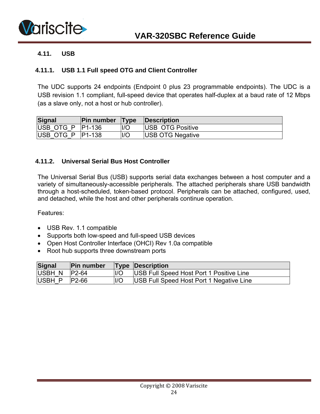<span id="page-23-0"></span>

#### **4.11. USB**

#### **4.11.1. USB 1.1 Full speed OTG and Client Controller**

The UDC supports 24 endpoints (Endpoint 0 plus 23 programmable endpoints). The UDC is a USB revision 1.1 compliant, full-speed device that operates half-duplex at a baud rate of 12 Mbps (as a slave only, not a host or hub controller).

| Signal             | <b>Pin number Type</b> |     | Description              |
|--------------------|------------------------|-----|--------------------------|
| USB OTG P   P1-136 |                        | 1/C | <b>IUSB OTG Positive</b> |
| USB OTG P          | P <sub>1</sub> -138    | 1/C | <b>USB OTG Negative</b>  |

#### **4.11.2. Universal Serial Bus Host Controller**

The Universal Serial Bus (USB) supports serial data exchanges between a host computer and a variety of simultaneously-accessible peripherals. The attached peripherals share USB bandwidth through a host-scheduled, token-based protocol. Peripherals can be attached, configured, used, and detached, while the host and other peripherals continue operation.

- USB Rev. 1.1 compatible
- Supports both low-speed and full-speed USB devices
- Open Host Controller Interface (OHCI) Rev 1.0a compatible
- Root hub supports three downstream ports

| Signal               | <b>Pin number</b> |                | <b>Type Description</b>                  |
|----------------------|-------------------|----------------|------------------------------------------|
| $ USBH N $ $ P2-64 $ |                   | $\overline{U}$ | USB Full Speed Host Port 1 Positive Line |
| USBH P               | IP2-66            | II/O           | USB Full Speed Host Port 1 Negative Line |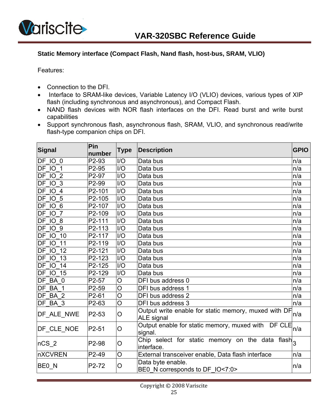

<span id="page-24-0"></span>

#### **Static Memory interface (Compact Flash, Nand flash, host-bus, SRAM, VLIO)**

- Connection to the DFI.
- Interface to SRAM-like devices, Variable Latency I/O (VLIO) devices, various types of XIP flash (including synchronous and asynchronous), and Compact Flash.
- NAND flash devices with NOR flash interfaces on the DFI. Read burst and write burst capabilities
- Support synchronous flash, asynchronous flash, SRAM, VLIO, and synchronous read/write flash-type companion chips on DFI.

| Signal            | Pin<br>number | Type                        | <b>Description</b>                                                   | <b>GPIO</b> |
|-------------------|---------------|-----------------------------|----------------------------------------------------------------------|-------------|
| DF IO 0           | P2-93         | I/O                         | Data bus                                                             | n/a         |
| DF IO 1           | P2-95         | I/O                         | Data bus                                                             | n/a         |
| DF IO 2           | P2-97         | $\overline{1/O}$            | Data bus                                                             | n/a         |
| <b>DF 10 3</b>    | P2-99         | I/O                         | Data bus                                                             | n/a         |
| DF IO 4           | P2-101        | I/O                         | Data bus                                                             | n/a         |
| <b>DF 10 5</b>    | P2-105        | I/O                         | Data bus                                                             | n/a         |
| DF IO 6           | P2-107        | I/O                         | Data bus                                                             | n/a         |
| DF IO 7           | P2-109        | I/O                         | Data bus                                                             | n/a         |
| DF IO 8           | P2-111        | I/O                         | Data bus                                                             | n/a         |
| DF IO 9           | P2-113        | $\overline{1}/\overline{O}$ | Data bus                                                             | n/a         |
| DF IO<br>10       | P2-117        | I/O                         | Data bus                                                             | n/a         |
| DF IO<br>11       | P2-119        | I/O                         | Data bus                                                             | n/a         |
| DF IO<br>12       | P2-121        | I/O                         | Data bus                                                             | n/a         |
| DF IO<br>13       | P2-123        | I/O                         | Data bus                                                             | n/a         |
| 14<br>DF IO       | P2-125        | I/O                         | Data bus                                                             | n/a         |
| <b>DF 10 15</b>   | P2-129        | I/O                         | Data bus                                                             | n/a         |
| DF BA 0           | P2-57         | O                           | DFI bus address 0                                                    | n/a         |
| DF BA 1           | P2-59         | O                           | DFI bus address 1                                                    | n/a         |
| DF BA 2           | P2-61         | $\overline{O}$              | DFI bus address 2                                                    | n/a         |
| DF BA 3           | P2-63         | O                           | DFI bus address 3                                                    | n/a         |
| DF_ALE_NWE        | P2-53         | O                           | Output write enable for static memory, muxed with DF<br>ALE signal   | n/a         |
| DF_CLE_NOE        | P2-51         | O                           | Output enable for static memory, muxed with DF CLE<br>n/a<br>signal. |             |
| $nCS_2$           | P2-98         | O                           | Chip select for static memory on the data flash<br>interface.        |             |
| <b>nXCVREN</b>    | P2-49         | $\overline{O}$              | External transceiver enable, Data flash interface                    | n/a         |
| BE <sub>0</sub> N | P2-72         | O                           | Data byte enable.<br>BE0 N corresponds to DF IO<7:0>                 | n/a         |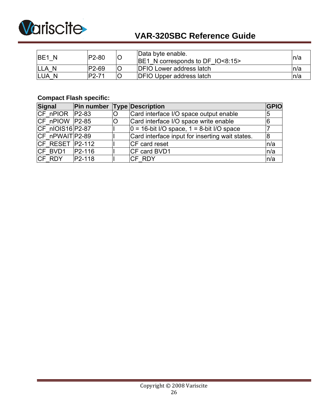

| <b>IBE1 N</b>    | P2-80  | $\overline{\mathsf{C}}$ | Data byte enable.<br>$ BE1 \rangle$ N corresponds to DF $ O < 8:15$ | ln/a |
|------------------|--------|-------------------------|---------------------------------------------------------------------|------|
| <b>ILLA N</b>    | P2-69  | IC                      | <b>IDFIO Lower address latch</b>                                    |      |
| <b>LUA</b><br>-N | IP2-71 |                         | <b>DFIO Upper address latch</b>                                     |      |

### **Compact Flash specific:**

| <b>Signal</b>    | Pin number          |   | <b>Type Description</b>                          | GPIO |
|------------------|---------------------|---|--------------------------------------------------|------|
| CF nPIOR P2-83   |                     | O | Card interface I/O space output enable           |      |
| CF nPIOW P2-85   |                     |   | Card interface I/O space write enable            |      |
| CF nIOIS16 P2-87 |                     |   | $ 0 = 16$ -bit I/O space, $1 = 8$ -bit I/O space |      |
| CF nPWAIT P2-89  |                     |   | Card interface input for inserting wait states.  |      |
| CF RESET P2-112  |                     |   | CF card reset                                    | ln/a |
| ICF BVD1         | P <sub>2</sub> -116 |   | CF card BVD1                                     | ln/a |
| CF RDY           | $ P2-118 $          |   | <b>ICF RDY</b>                                   | ln/a |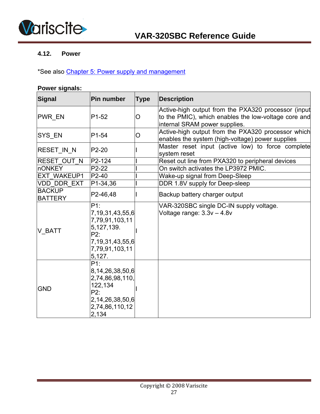<span id="page-26-0"></span>

#### **4.12. Power**

\*See also Chapter 5: Power supply and management

#### **Power signals:**

| <b>Signal</b>                   | Pin number                                                                                                          | <b>Type</b> | <b>Description</b>                                                                                                                           |
|---------------------------------|---------------------------------------------------------------------------------------------------------------------|-------------|----------------------------------------------------------------------------------------------------------------------------------------------|
| PWR_EN                          | P <sub>1</sub> -52                                                                                                  | O           | Active-high output from the PXA320 processor (input<br>to the PMIC), which enables the low-voltage core and<br>internal SRAM power supplies. |
| SYS_EN                          | P1-54                                                                                                               | O           | Active-high output from the PXA320 processor which<br>enables the system (high-voltage) power supplies                                       |
| RESET IN N                      | P2-20                                                                                                               |             | Master reset input (active low) to force complete<br>system reset                                                                            |
| <b>RESET OUT N</b>              | P2-124                                                                                                              |             | Reset out line from PXA320 to peripheral devices                                                                                             |
| <b>nONKEY</b>                   | $P2-22$                                                                                                             |             | On switch activates the LP3972 PMIC.                                                                                                         |
| <b>EXT WAKEUP1</b>              | P2-40                                                                                                               |             | Wake-up signal from Deep-Sleep                                                                                                               |
| VDD DDR EXT                     | P1-34,36                                                                                                            |             | DDR 1.8V supply for Deep-sleep                                                                                                               |
| <b>BACKUP</b><br><b>BATTERY</b> | P2-46,48                                                                                                            |             | Backup battery charger output                                                                                                                |
| V_BATT                          | P1:<br>7,19,31,43,55,6<br>7,79,91,103,11<br>5, 127, 139.<br>P2:<br>7, 19, 31, 43, 55, 6<br>7,79,91,103,11<br>5,127. |             | VAR-320SBC single DC-IN supply voltage.<br>Voltage range: $3.3v - 4.8v$                                                                      |
| <b>GND</b>                      | P1:<br>8,14,26,38,50,6<br>2,74,86,98,110,<br>122,134<br>P2:<br>2, 14, 26, 38, 50, 6<br>2,74,86,110,12<br>2,134      |             |                                                                                                                                              |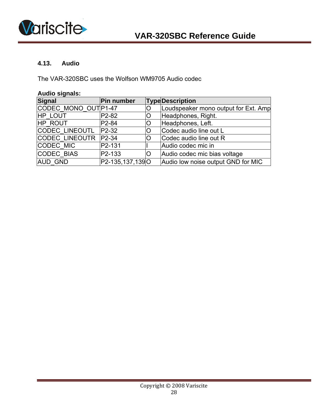<span id="page-27-0"></span>

#### **4.13. Audio**

The VAR-320SBC uses the Wolfson WM9705 Audio codec

| <b>Audio signals:</b> |                    |   |                                      |  |  |  |  |  |
|-----------------------|--------------------|---|--------------------------------------|--|--|--|--|--|
| <b>Signal</b>         | Pin number         |   | <b>TypeDescription</b>               |  |  |  |  |  |
| CODEC MONO OUT P1-47  |                    |   | Loudspeaker mono output for Ext. Amp |  |  |  |  |  |
| <b>HP LOUT</b>        | P <sub>2</sub> -82 | O | Headphones, Right.                   |  |  |  |  |  |
| HP ROUT               | P <sub>2</sub> -84 | O | Headphones, Left.                    |  |  |  |  |  |
| <b>CODEC LINEOUTL</b> | $P2-32$            | Ο | Codec audio line out L               |  |  |  |  |  |
| <b>CODEC LINEOUTR</b> | $P2-34$            | O | Codec audio line out R               |  |  |  |  |  |
| CODEC MIC             | P2-131             |   | Audio codec mic in                   |  |  |  |  |  |
| CODEC BIAS            | P2-133             | O | Audio codec mic bias voltage         |  |  |  |  |  |
| <b>AUD GND</b>        | P2-135,137,139O    |   | Audio low noise output GND for MIC   |  |  |  |  |  |

#### Copyright © 2008 Variscite 28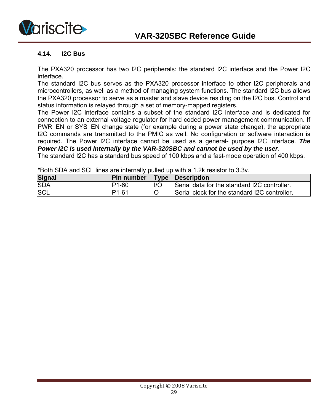<span id="page-28-0"></span>

#### **4.14. I2C Bus**

The PXA320 processor has two I2C peripherals: the standard I2C interface and the Power I2C interface.

The standard I2C bus serves as the PXA320 processor interface to other I2C peripherals and microcontrollers, as well as a method of managing system functions. The standard I2C bus allows the PXA320 processor to serve as a master and slave device residing on the I2C bus. Control and status information is relayed through a set of memory-mapped registers.

The Power I2C interface contains a subset of the standard I2C interface and is dedicated for connection to an external voltage regulator for hard coded power management communication. If PWR\_EN or SYS\_EN change state (for example during a power state change), the appropriate I2C commands are transmitted to the PMIC as well. No configuration or software interaction is required. The Power I2C interface cannot be used as a general- purpose I2C interface. *The Power I2C is used internally by the VAR-320SBC and cannot be used by the user.* 

The standard I2C has a standard bus speed of 100 kbps and a fast-mode operation of 400 kbps.

| <u>DOULL SURE AND SULL INTERFERITE INTENTIONS DUTIES OF INTERFERING IN A TESTING OF DUTIES OF INTERFERING IN A T</u> |                                    |     |                                               |  |  |  |  |  |
|----------------------------------------------------------------------------------------------------------------------|------------------------------------|-----|-----------------------------------------------|--|--|--|--|--|
| <b>Signal</b>                                                                                                        | <b>Pin number</b> Type Description |     |                                               |  |  |  |  |  |
| <b>SDA</b>                                                                                                           | P1-60                              | 1/O | Serial data for the standard I2C controller.  |  |  |  |  |  |
| <b>SCL</b>                                                                                                           | P <sub>1-61</sub>                  | IC  | Serial clock for the standard I2C controller. |  |  |  |  |  |

 $*$ Both CDA and COL lines are internally pulled up with a 1.2k resistante 3.3v.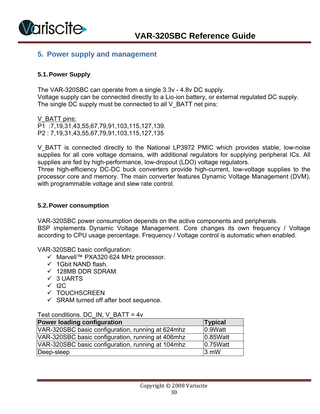<span id="page-29-0"></span>

### **5. Power supply and management**

#### **5.1. Power Supply**

The VAR-320SBC can operate from a single 3.3v - 4.8v DC supply. Voltage supply can be connected directly to a Lio-ion battery, or external regulated DC supply. The single DC supply must be connected to all V\_BATT net pins:

V BATT pins: P1 :7,19,31,43,55,67,79,91,103,115,127,139. P2 : 7,19,31,43,55,67,79,91,103,115,127,135

V BATT is connected directly to the National LP3972 PMIC which provides stable, low-noise supplies for all core voltage domains, with additional regulators for supplying peripheral ICs. All supplies are fed by high-performance, low-dropout (LDO) voltage regulators.

Three high-efficiency DC-DC buck converters provide high-current, low-voltage supplies to the processor core and memory. The main converter features Dynamic Voltage Management (DVM), with programmable voltage and slew rate control.

#### **5.2. Power consumption**

VAR-320SBC power consumption depends on the active components and peripherals.

BSP implements Dynamic Voltage Management. Core changes its own frequency / Voltage according to CPU usage percentage. Frequency / Voltage control is automatic when enabled.

VAR-320SBC basic configuration:

- 9 Marvell™ PXA320 624 MHz processor.
- $\checkmark$  1Gbit NAND flash.
- $\checkmark$  128MB DDR SDRAM.
- $\checkmark$  3 UARTS
- $\checkmark$  I2C
- $\checkmark$  TOUCHSCREEN
- $\checkmark$  SRAM turned off after boot sequence.

#### Test conditions. DC\_IN, V\_BATT = 4v

| Power loading configuration                       | <b>Typical</b>       |
|---------------------------------------------------|----------------------|
| VAR-320SBC basic configuration, running at 624mhz | 0.9Watt              |
| VAR-320SBC basic configuration, running at 406mhz | 0.85W <sub>att</sub> |
| VAR-320SBC basic configuration, running at 104mhz | 0.75W <sub>att</sub> |
| Deep-sleep                                        | $3 \text{ mW}$       |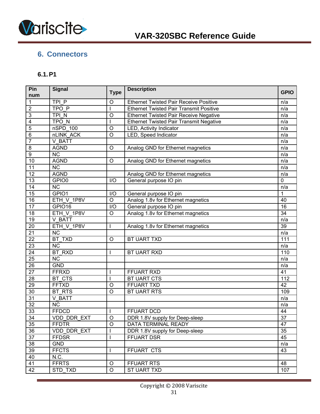<span id="page-30-0"></span>

# **6. Connectors**

### **6.1. P1**

| Pin<br>num              | <b>Signal</b>          | <b>Type</b>      | <b>Description</b>                             | <b>GPIO</b>     |
|-------------------------|------------------------|------------------|------------------------------------------------|-----------------|
| $\mathbf 1$             | TPI P                  | O                | <b>Ethernet Twisted Pair Receive Positive</b>  | n/a             |
| $\overline{2}$          | TPO P                  |                  | <b>Ethernet Twisted Pair Transmit Positive</b> | n/a             |
| 3                       | TPI N                  | O                | <b>Ethernet Twisted Pair Receive Negative</b>  | n/a             |
| $\overline{\mathbf{4}}$ | TPO <sub>N</sub>       |                  | <b>Ethernet Twisted Pair Transmit Negative</b> | n/a             |
| 5                       | nSPD 100               | O                | LED, Activity Indicator                        | n/a             |
| $\overline{6}$          | nLINK ACK              | $\overline{0}$   | LED, Speed Indicator                           | n/a             |
| $\overline{7}$          | V BATT                 |                  |                                                | n/a             |
| $\overline{8}$          | <b>AGND</b>            | O                | Analog GND for Ethernet magnetics              | n/a             |
| $\overline{9}$          | $\overline{\text{NC}}$ |                  |                                                | n/a             |
| 10                      | <b>AGND</b>            | O                | Analog GND for Ethernet magnetics              | n/a             |
| 11                      | $\overline{\text{NC}}$ |                  |                                                | n/a             |
| $\overline{12}$         | <b>AGND</b>            |                  | Analog GND for Ethernet magnetics              | n/a             |
| 13                      | GPIO0                  | I/O              | General purpose IO pin                         | $\mathbf 0$     |
| $\overline{14}$         | $\overline{\text{NC}}$ |                  |                                                | n/a             |
| 15                      | GPIO1                  | I/O              | General purpose IO pin                         | $\mathbf{1}$    |
| 16                      | ETH V 1P8V             | $\overline{O}$   | Analog 1.8v for Ethernet magnetics             | 40              |
| 17                      | GPIO16                 | $\overline{1/O}$ | General purpose IO pin                         | 16              |
| $\overline{18}$         | ETH_V_1P8V             | $\mathsf O$      | Analog 1.8v for Ethernet magnetics             | $\overline{34}$ |
| 19                      | V BATT                 |                  |                                                | n/a             |
| $\overline{20}$         | ETH V 1P8V             |                  | Analog 1.8v for Ethernet magnetics             | 39              |
| $\overline{21}$         | <b>NC</b>              |                  |                                                | n/a             |
| $\overline{22}$         | BT TXD                 | O                | BT UART TXD                                    | 111             |
| $\overline{23}$         | $\overline{\text{NC}}$ |                  |                                                | n/a             |
| $\overline{24}$         | <b>BT RXD</b>          |                  | BT UART RXD                                    | 110             |
| 25                      | NC                     |                  |                                                | n/a             |
| $\overline{26}$         | <b>GND</b>             |                  |                                                | n/a             |
| $\overline{27}$         | <b>FFRXD</b>           |                  | <b>FFUART RXD</b>                              | 41              |
| 28                      | BT CTS                 |                  | BT UART CTS                                    | 112             |
| $\overline{29}$         | <b>FFTXD</b>           | O                | FFUART TXD                                     | 42              |
| 30                      | <b>BT RTS</b>          | $\circ$          | BT UART RTS                                    | 109             |
| 31                      | V BATT                 |                  |                                                | n/a             |
| $\overline{32}$         | <b>NC</b>              |                  |                                                | n/a             |
| 33                      | <b>FFDCD</b>           | I                | FFUART DCD                                     | 44              |
| $\overline{34}$         | VDD_DDR_EXT            | $\bigcirc$       | DDR 1.8V supply for Deep-sleep                 | $\overline{37}$ |
| 35                      | <b>FFDTR</b>           | O                | DATA TERMINAL READY                            | 47              |
| 36                      | VDD_DDR_EXT            |                  | DDR 1.8V supply for Deep-sleep                 | 35              |
| $\overline{37}$         | <b>FFDSR</b>           |                  | FFUART DSR                                     | 45              |
| 38                      | <b>GND</b>             |                  |                                                | n/a             |
| 39                      | <b>FFCTS</b>           |                  | FFUART CTS                                     | 43              |
| 40                      | N.C.                   |                  |                                                |                 |
| 41                      | <b>FFRTS</b>           | O                | FFUART RTS                                     | 48              |
| 42                      | STD TXD                | $\circ$          | <b>ST UART TXD</b>                             | 107             |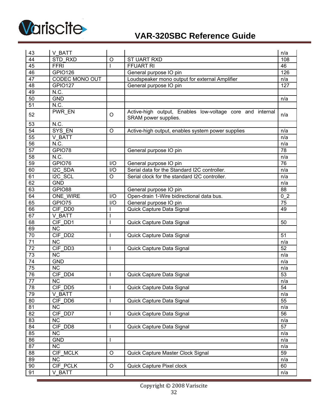

| 43              | V BATT                 |             |                                                                                   | n/a            |
|-----------------|------------------------|-------------|-----------------------------------------------------------------------------------|----------------|
| 44              | STD RXD                | O           | <b>ST UART RXD</b>                                                                | 108            |
| 45              | <b>FFRI</b>            |             | <b>FFUART RI</b>                                                                  | 46             |
| 46              | <b>GPIO126</b>         |             | General purpose IO pin                                                            |                |
| $\overline{47}$ | <b>CODEC MONO OUT</b>  |             | Loudspeaker mono output for external Amplifier                                    | n/a            |
| 48              | <b>GPIO127</b>         |             | General purpose IO pin                                                            | 127            |
| 49              | N.C.                   |             |                                                                                   |                |
| 50              | <b>GND</b>             |             |                                                                                   | n/a            |
| $\overline{51}$ | N.C.                   |             |                                                                                   |                |
| 52              | PWR_EN                 | $\circ$     | Active-high output, Enables low-voltage core and internal<br>SRAM power supplies. | n/a            |
| 53              | N.C.                   |             |                                                                                   |                |
| 54              | SYS EN                 | O           | Active-high output, enables system power supplies                                 | n/a            |
| 55              | V BATT                 |             |                                                                                   | n/a            |
| $\overline{56}$ | N.C.                   |             |                                                                                   | n/a            |
| 57              | GPIO78                 |             | General purpose IO pin                                                            | 78             |
| $\overline{58}$ | N.C.                   |             |                                                                                   | n/a            |
| 59              | GPIO76                 | I/O         | General purpose IO pin                                                            | 76             |
| 60              | I2C SDA                | I/O         | Serial data for the Standard I2C controller.                                      | n/a            |
| 61              | I2C SCL                | $\circ$     | Serial clock for the standard I2C controller.                                     | n/a            |
| 62              | <b>GND</b>             |             |                                                                                   | n/a            |
| 63              | GPIO88                 |             | General purpose IO pin                                                            | 88             |
| 64              | ONE WIRE               | I/O         | Open-drain 1-Wire bidirectional data bus.                                         | 0 <sub>2</sub> |
| 65              | GPIO75                 | I/O         | General purpose IO pin                                                            | 75             |
| 66              | CIF DD0                |             | Quick Capture Data Signal                                                         | 49             |
| 67              | V BATT                 |             |                                                                                   |                |
| 68              | CIF DD1                |             | Quick Capture Data Signal                                                         | 50             |
| 69              | <b>NC</b>              |             |                                                                                   |                |
| $\overline{70}$ | $CIF$ $DD2$            |             | Quick Capture Data Signal                                                         | 51             |
| 71              | <b>NC</b>              |             |                                                                                   | n/a            |
| 72              | CIF DD3                |             | Quick Capture Data Signal                                                         | 52             |
| $\overline{73}$ | $\overline{\text{NC}}$ |             |                                                                                   | n/a            |
| $\overline{74}$ | <b>GND</b>             |             |                                                                                   | n/a            |
| $\overline{75}$ | <b>NC</b>              |             |                                                                                   | n/a            |
| 76              | CIF DD4                |             | Quick Capture Data Signal                                                         | 53             |
| $\overline{77}$ | $\overline{\text{NC}}$ |             |                                                                                   | n/a            |
| 78              | CIF DD5                |             | Quick Capture Data Signal                                                         | 54             |
| 79              | V BATT                 |             |                                                                                   | n/a            |
| 80              | CIF DD6                |             | Quick Capture Data Signal                                                         | 55             |
| 81              | <b>NC</b>              |             |                                                                                   | n/a            |
| 82              | CIF DD7                |             | Quick Capture Data Signal                                                         | 56             |
| 83              | <b>NC</b>              |             |                                                                                   | n/a            |
| 84              | CIF DD8                |             | Quick Capture Data Signal                                                         | 57             |
| 85              | <b>NC</b>              |             |                                                                                   | n/a            |
| 86              | <b>GND</b>             |             |                                                                                   | n/a            |
| 87              | <b>NC</b>              |             |                                                                                   | n/a            |
| 88              | CIF MCLK               | $\circ$     | Quick Capture Master Clock Signal                                                 | 59             |
| 89              | <b>NC</b>              |             |                                                                                   | n/a            |
| 90              | CIF PCLK               | $\mathsf O$ | Quick Capture Pixel clock                                                         | 60             |
| 91              | V BATT                 |             |                                                                                   | n/a            |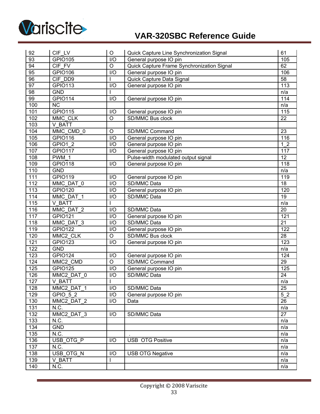

| 92               | CIF LV             | $\bigcirc$       | Quick Capture Line Synchronization Signal  | 61             |
|------------------|--------------------|------------------|--------------------------------------------|----------------|
| 93               | <b>GPIO105</b>     | I/O              | General purpose IO pin                     |                |
| 94               | CIF FV             | $\circ$          | Quick Capture Frame Synchronization Signal | 62             |
| 95               | <b>GPIO106</b>     | I/O              | General purpose IO pin                     |                |
| 96               | CIF DD9            | $\mathsf{I}$     | Quick Capture Data Signal                  | 58             |
| 97               | <b>GPIO113</b>     | I/O              | General purpose IO pin                     | 113            |
| $\overline{98}$  | <b>GND</b>         |                  |                                            | n/a            |
| 99               | <b>GPIO114</b>     | I/O              | General purpose IO pin                     | 114            |
| 100              | <b>NC</b>          |                  |                                            | n/a            |
| 101              | <b>GPIO115</b>     | I/O              | General purpose IO pin                     | 115            |
| 102              | MMC CLK            | $\mathsf O$      | SD/MMC Bus clock                           | 22             |
| 103              | V BATT             |                  |                                            |                |
| 104              | MMC CMD 0          | $\circ$          | SD/MMC Command                             | 23             |
| 105              | <b>GPIO116</b>     | I/O              | General purpose IO pin                     | 116            |
| 106              | GPIO1 2            | I/O              | General purpose IO pin                     | 1 <sub>2</sub> |
| 107              | <b>GPIO117</b>     | I/O              | General purpose IO pin                     | 117            |
| 108              | $\overline{PWM}$ 1 |                  | Pulse-width modulated output signal        | 12             |
| 109              | GPIO118            | I/O              | General purpose IO pin                     | 118            |
| 110              | <b>GND</b>         |                  |                                            | n/a            |
| 111              | <b>GPIO119</b>     | I/O              | General purpose IO pin                     | 119            |
| 112              | MMC DAT 0          | I/O              | SD/MMC Data                                | 18             |
| 113              | <b>GPIO120</b>     | $\overline{1/O}$ | General purpose IO pin                     | 120            |
| 114              | MMC DAT 1          | I/O              | SD/MMC Data                                | 19             |
| 115              | V BATT             | ı                |                                            | n/a            |
| 116              | MMC DAT 2          | I/O              | SD/MMC Data                                | 20             |
| 117              | <b>GPIO121</b>     | I/O              | General purpose IO pin                     | 121            |
| 118              | MMC DAT 3          | I/O              | SD/MMC Data                                | 21             |
| 119              | GPIO122            | I/O              | General purpose IO pin                     | 122            |
| 120              | MMC2 CLK           | $\mathsf O$      | SD/MMC Bus clock                           | 28             |
| 121              | GPIO123            | I/O              | General purpose IO pin                     |                |
| 122              | <b>GND</b>         |                  |                                            |                |
| 123              | <b>GPIO124</b>     | I/O              | General purpose IO pin                     | 124            |
| 124              | MMC2_CMD           | $\mathsf O$      | SD/MMC Command                             | 29             |
| 125              | <b>GPIO125</b>     | $\overline{1/O}$ | General purpose IO pin                     | 125            |
| 126              | MMC2 DAT 0         | I/O              | SD/MMC Data                                | 24             |
| 127              | V_BATT             | $\mathbf{I}$     |                                            | n/a            |
| 128              | MMC2 DAT 1         | I/O              | SD/MMC Data                                | 25             |
| 129              | GPIO 5 2           | I/O              | General purpose IO pin                     | 5 <sub>2</sub> |
| 130              | MMC2 DAT 2         | I/O              | Data                                       | 26             |
| $\overline{131}$ | N.C.               |                  |                                            | n/a            |
| 132              | MMC2 DAT 3         | I/O              | SD/MMC Data                                | 27             |
| 133              | N.C.               |                  |                                            | n/a            |
| $\overline{134}$ | <b>GND</b>         |                  |                                            | n/a            |
| 135              | N.C.               |                  |                                            | n/a            |
| 136              | USB OTG P          | I/O              | <b>USB OTG Positive</b>                    | n/a            |
| $\overline{137}$ | N.C.               |                  |                                            | n/a            |
| 138              | USB OTG N          | I/O              | <b>USB OTG Negative</b>                    | n/a            |
| 139              | V BATT             |                  |                                            | n/a            |
| 140              | N.C.               |                  |                                            | n/a            |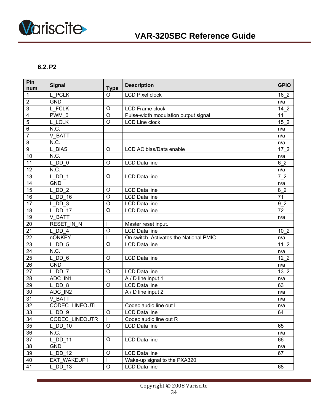<span id="page-33-0"></span>

#### **6.2. P2**

| Pin<br>num      | <b>Signal</b>          | <b>Type</b>  | <b>Description</b>                      | <b>GPIO</b>     |
|-----------------|------------------------|--------------|-----------------------------------------|-----------------|
| 1               | L PCLK                 | $\Omega$     | <b>LCD Pixel clock</b>                  | 16 <sub>2</sub> |
| 2               | <b>GND</b>             |              |                                         | n/a             |
| 3               | L FCLK                 | $\circ$      | <b>LCD Frame clock</b>                  | $142$           |
| 4               | PWM 0                  | $\circ$      | Pulse-width modulation output signal    | 11              |
| 5               | L LCLK                 | $\circ$      | LCD Line clock                          | 15 <sub>2</sub> |
| 6               | N.C.                   |              |                                         | n/a             |
| $\overline{7}$  | V BATT                 |              |                                         | n/a             |
| 8               | N.C.                   |              |                                         | n/a             |
| $\overline{9}$  | L BIAS                 | O            | LCD AC bias/Data enable                 | $172$           |
| 10              | N.C.                   |              |                                         | n/a             |
| 11              | $L$ <sub>DD</sub> $_0$ | $\circ$      | <b>LCD Data line</b>                    | 6 2             |
| $\overline{12}$ | N.C.                   |              |                                         | n/a             |
| $\overline{13}$ | $L$ DD 1               | $\circ$      | <b>LCD Data line</b>                    | 72              |
| 14              | <b>GND</b>             |              |                                         | n/a             |
| 15              | $L$ DD $2$             | O            | <b>LCD Data line</b>                    | 8 2             |
| 16              | <b>DD 16</b><br>L      | $\circ$      | <b>LCD</b> Data line                    | 71              |
| 17              | $L$ <sub>DD</sub> $3$  | $\circ$      | <b>LCD</b> Data line                    | 9 <sub>2</sub>  |
| $\overline{18}$ | $L$ DD 17              | $\circ$      | <b>LCD Data line</b>                    | $\overline{72}$ |
| 19              | V BATT                 |              |                                         | n/a             |
| 20              | RESET IN N             |              | Master reset input.                     |                 |
| $\overline{21}$ | $L$ DD 4               | $\circ$      | <b>LCD Data line</b>                    | 10 <sub>2</sub> |
| 22              | <b>nONKEY</b>          | L            | On switch. Activates the National PMIC. | n/a             |
| $\overline{23}$ | $L$ DD $5$             | $\circ$      | <b>LCD Data line</b>                    | $112$           |
| 24              | N.C.                   |              |                                         | n/a             |
| 25              | $L$ DD $6$             | $\circ$      | <b>LCD Data line</b>                    | $122$           |
| 26              | <b>GND</b>             |              |                                         | n/a             |
| 27              | L DD 7                 | $\circ$      | <b>LCD Data line</b>                    | 13 <sub>2</sub> |
| 28              | ADC IN1                |              | A / D line input 1                      | n/a             |
| 29              | L DD 8                 | $\circ$      | <b>LCD Data line</b>                    | 63              |
| 30              | ADC IN2                |              | A / D line input 2                      | n/a             |
| 31              | V BATT                 |              |                                         | n/a             |
| $\overline{32}$ | <b>CODEC LINEOUTL</b>  |              | Codec audio line out L                  | n/a             |
| 33              | $L$ DD $9$             | $\circ$      | <b>LCD</b> Data line                    | 64              |
| 34              | <b>CODEC LINEOUTR</b>  | $\mathsf{I}$ | Codec audio line out R                  |                 |
| 35              | $L$ DD 10              | $\circ$      | LCD Data line                           | 65              |
| 36              | N.C.                   |              |                                         | n/a             |
| 37              | L DD 11                | O            | <b>LCD Data line</b>                    | 66              |
| 38              | <b>GND</b>             |              |                                         | n/a             |
| 39              | L DD 12                | $\circ$      | LCD Data line                           | 67              |
| 40              | EXT WAKEUP1            | T            | Wake-up signal to the PXA320.           |                 |
| 41              | $L$ DD 13              | $\circ$      | <b>LCD Data line</b>                    | 68              |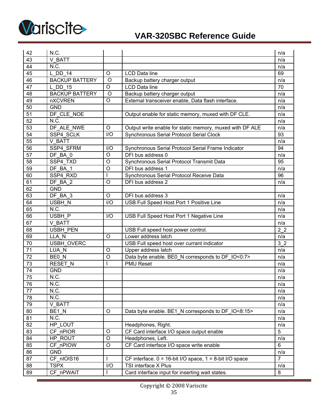

| 42              | N.C.                  |         |                                                               | n/a            |
|-----------------|-----------------------|---------|---------------------------------------------------------------|----------------|
| 43              | V BATT                |         |                                                               | n/a            |
| 44              | N.C.                  |         |                                                               | n/a            |
| 45              | L DD 14               | $\circ$ | <b>LCD Data line</b>                                          | 69             |
| 46              | <b>BACKUP BATTERY</b> | $\circ$ | Backup battery charger output                                 | n/a            |
| 47              | L DD 15               | O       | <b>LCD Data line</b>                                          | 70             |
| 48              | <b>BACKUP BATTERY</b> | $\circ$ | Backup battery charger output                                 | n/a            |
| 49              | nXCVREN               | $\circ$ | External transceiver enable, Data flash interface.            | n/a            |
| 50              | <b>GND</b>            |         |                                                               | n/a            |
| 51              | DF CLE NOE            |         | Output enable for static memory, muxed with DF CLE.           | n/a            |
| 52              | N.C.                  |         |                                                               | n/a            |
| 53              | DF ALE NWE            | O       | Output write enable for static memory, muxed with DF ALE      | n/a            |
| 54              | SSP4 SCLK             | I/O     | Synchronous Serial Protocol Serial Clock                      | 93             |
| 55              | V BATT                |         |                                                               | n/a            |
| 56              | SSP4 SFRM             | 1/O     | Synchronous Serial Protocol Serial Frame Indicator            | 94             |
| 57              | DF BA 0               | $\circ$ | DFI bus address 0                                             | n/a            |
| 58              | SSP4_TXD              | $\circ$ | Synchronous Serial Protocol Transmit Data                     | 95             |
| 59              | DF BA 1               | O       | DFI bus address 1                                             | n/a            |
| 60              | SSP4 RXD              |         | Synchronous Serial Protocol Receive Data                      | 96             |
| 61              | DF BA 2               | $\circ$ | DFI bus address 2                                             | n/a            |
| 62              | <b>GND</b>            |         |                                                               |                |
| 63              | $DF$ $BA$ 3           | $\circ$ | DFI bus address 3                                             | n/a<br>n/a     |
| 64              | USBH N                | I/O     | USB Full Speed Host Port 1 Positive Line                      |                |
| 65              | N.C.                  |         |                                                               |                |
| 66              | USBH P                | I/O     | USB Full Speed Host Port 1 Negative Line                      |                |
| 67              | V BATT                |         |                                                               |                |
| 68              | <b>USBH PEN</b>       |         | USB Full speed host power control.                            |                |
| 69              | LLA N                 | $\circ$ | Lower address latch                                           |                |
| 70              | <b>USBH OVERC</b>     |         | USB Full speed host over currant indicator                    | 3 <sub>2</sub> |
| 71              | LUA N                 | O       | Upper address latch                                           | n/a            |
| 72              | BE0 N                 | $\circ$ | Data byte enable. BE0_N corresponds to DF_IO<0:7>             | n/a            |
| 73              | <b>RESET N</b>        | I       | <b>PMU Reset</b>                                              | n/a            |
| 74              | <b>GND</b>            |         |                                                               | n/a            |
| $\overline{75}$ | N.C.                  |         |                                                               | n/a            |
| 76              | N.C.                  |         |                                                               | n/a            |
| 77              | N.C.                  |         |                                                               | n/a            |
| 78              | N.C.                  |         |                                                               | n/a            |
| 79              | V BATT                |         |                                                               | n/a            |
| 80              | $BE1$ N               | O       | Data byte enable. BE1 N corresponds to DF IO<8:15>            | n/a            |
| 81              | N.C.                  |         |                                                               | n/a            |
| 82              | HP LOUT               |         | Headphones, Right.                                            | n/a            |
| 83              | CF nPIOR              | O       | CF Card interface I/O space output enable                     | 5              |
| 84              | HP ROUT               | $\circ$ | Headphones, Left.                                             | n/a            |
| 85              | CF nPIOW              | $\circ$ | CF Card interface I/O space write enable                      | 6              |
| 86              | <b>GND</b>            |         |                                                               | n/a            |
| $\overline{87}$ | CF nIOIS16            |         | CF interface. $0 = 16$ -bit I/O space, $1 = 8$ -bit I/O space | $\overline{7}$ |
| 88              | <b>TSPX</b>           | I/O     | TSI interface X Plus                                          | n/a            |
| 89              | CF nPWAIT             |         | Card interface input for inserting wait states.               | 8              |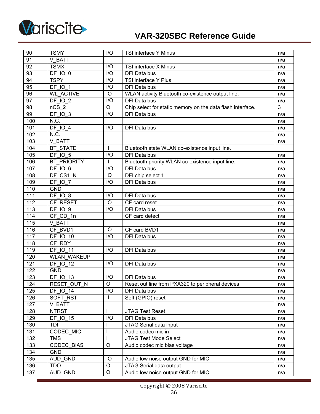

| 90                | <b>TSMY</b>           | I/O              | TSI interface Y Minus                                      | n/a            |
|-------------------|-----------------------|------------------|------------------------------------------------------------|----------------|
| 91                | V BATT                |                  |                                                            | n/a            |
| 92                | <b>TSMX</b>           | I/O              | TSI interface X Minus                                      | n/a            |
| 93                | <b>DF 10 0</b>        | $\overline{1/O}$ | DFI Data bus                                               | n/a            |
| 94                | <b>TSPY</b>           | I/O              | TSI interface Y Plus                                       | n/a            |
| 95                | <b>DF IO 1</b>        | 1/O              | <b>DFI Data bus</b>                                        | n/a            |
| 96                | <b>WL ACTIVE</b>      | $\circ$          | WLAN activity Bluetooth co-existence output line.          | n/a            |
| 97                | DF IO 2               | I/O              | <b>DFI Data bus</b>                                        | n/a            |
| 98                | $nCS$ 2               | $\circ$          | Chip select for static memory on the data flash interface. | $\overline{3}$ |
| 99                | DF IO 3               | I/O              | DFI Data bus                                               | n/a            |
| 100               | N.C.                  |                  |                                                            | n/a            |
| 101               | <b>DF IO 4</b>        | I/O              | DFI Data bus                                               | n/a            |
| 102               | N.C.                  |                  |                                                            | n/a            |
| 103               | V BATT                |                  |                                                            | n/a            |
| 104               | <b>BT STATE</b>       | $\overline{1}$   | Bluetooth state WLAN co-existence input line.              |                |
| 105               | <b>DF 10 5</b>        | I/O              | DFI Data bus                                               | n/a            |
| 106               | <b>BT PRIORITY</b>    |                  | Bluetooth priority WLAN co-existence input line.           | n/a            |
| 107               | DF IO 6               | I/O              | DFI Data bus                                               | n/a            |
| 108               | DF CS1 N              | $\circ$          | DFI chip select 1                                          | n/a            |
| 109               | DF IO 7               | I/O              | DFI Data bus                                               | n/a            |
| 110               | <b>GND</b>            |                  |                                                            | n/a            |
| 111               | $DF$ <sup>IO</sup> 8  | I/O              | DFI Data bus                                               | n/a            |
| 112               | CF RESET              | $\circ$          | CF card reset                                              | n/a            |
| 113               | DF IO 9               | 1/O              | DFI Data bus                                               | n/a            |
| 114               | CF CD 1n              |                  | CF card detect                                             | n/a            |
| 115               | V BATT                |                  |                                                            | n/a            |
| 116               | CF BVD1               | $\circ$          | CF card BVD1                                               | n/a            |
| $\frac{117}{117}$ | <b>DF IO 10</b>       | I/O              | DFI Data bus                                               | n/a            |
| 118               | CF RDY                |                  |                                                            | n/a            |
| 119               | <b>DF IO 11</b>       | I/O              | DFI Data bus                                               | n/a            |
| 120               | <b>WLAN WAKEUP</b>    |                  |                                                            | n/a            |
| 121               | DF 10_12              | I/O              | DFI Data bus                                               | n/a            |
| 122               | <b>GND</b>            |                  |                                                            | n/a            |
| 123               | $DF_IO$ <sub>13</sub> | I/O              | DFI Data bus                                               | n/a            |
| 124               | <b>RESET OUT N</b>    | $\overline{O}$   | Reset out line from PXA320 to peripheral devices           | n/a            |
| 125               | <b>DF IO 14</b>       | I/O              | DFI Data bus                                               | n/a            |
| 126               | SOFT RST              | $\mathbf{I}$     | Soft (GPIO) reset                                          | n/a            |
| 127               | V BATT                |                  |                                                            | n/a            |
| 128               | <b>NTRST</b>          |                  | <b>JTAG Test Reset</b>                                     | n/a            |
| 129               | <b>DF IO 15</b>       | I/O              | DFI Data bus                                               | n/a            |
| 130               | <b>TDI</b>            |                  | JTAG Serial data input                                     | n/a            |
| 131               | CODEC MIC             |                  | Audio codec mic in                                         | n/a            |
| 132               | <b>TMS</b>            |                  | JTAG Test Mode Select                                      | n/a            |
| 133               | <b>CODEC BIAS</b>     | $\circ$          | Audio codec mic bias voltage                               | n/a            |
| 134               | <b>GND</b>            |                  |                                                            | n/a            |
| 135               | AUD GND               | $\circ$          | Audio low noise output GND for MIC                         | n/a            |
| 136               | <b>TDO</b>            | $\mathsf O$      | JTAG Serial data output                                    | n/a            |
| 137               | AUD GND               | $\mathsf O$      | Audio low noise output GND for MIC                         | n/a            |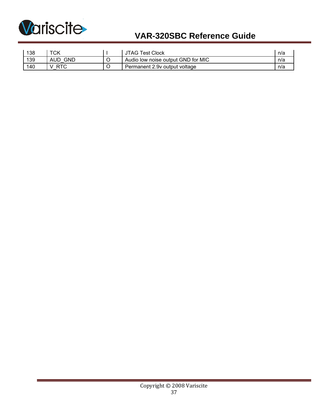

| 138 | エヘレ<br>∵∪r∖ | Гest Clock<br>JTAG                 | n/a |
|-----|-------------|------------------------------------|-----|
| 139 | GND         | Audio low noise output GND for MIC | n/a |
| 140 |             | Permanent 2.9v output voltage      | n/a |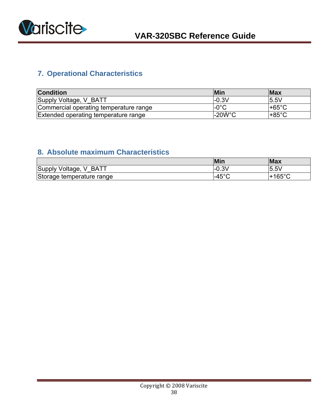<span id="page-37-0"></span>

# **7. Operational Characteristics**

| <b>Condition</b>                       | <b>Min</b>     | <b>Max</b> |
|----------------------------------------|----------------|------------|
| Supply Voltage, V BATT                 | $-0.3V$        | 5.5V       |
| Commercial operating temperature range | $-0^{\circ}$ C | l+65°C     |
| Extended operating temperature range   | $-20W$ °C      | l+85°C     |

# **8. Absolute maximum Characteristics**

|                                                   | Min           | <b>Max</b>         |
|---------------------------------------------------|---------------|--------------------|
| Supply<br><b>BATT</b><br>Voltage,<br>$\mathbf{v}$ | $-0.3V$       | 5.5V               |
| Storage temperature range                         | $-45^{\circ}$ | 165°C <sup>.</sup> |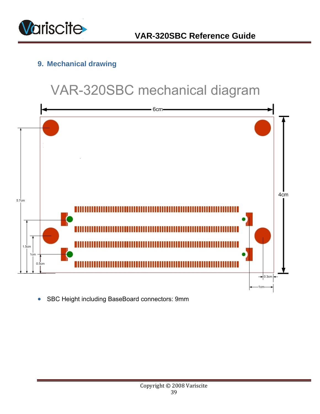<span id="page-38-0"></span>

# **9. Mechanical drawing**

# VAR-320SBC mechanical diagram



• SBC Height including BaseBoard connectors: 9mm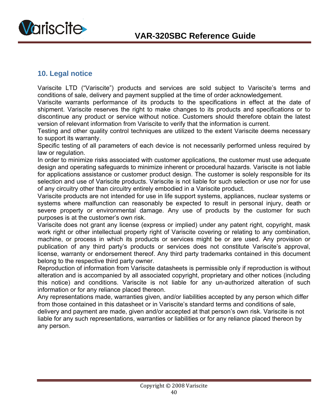

<span id="page-39-0"></span>

### **10. Legal notice**

Variscite LTD ("Variscite") products and services are sold subject to Variscite's terms and conditions of sale, delivery and payment supplied at the time of order acknowledgement.

Variscite warrants performance of its products to the specifications in effect at the date of shipment. Variscite reserves the right to make changes to its products and specifications or to discontinue any product or service without notice. Customers should therefore obtain the latest version of relevant information from Variscite to verify that the information is current.

Testing and other quality control techniques are utilized to the extent Variscite deems necessary to support its warranty.

Specific testing of all parameters of each device is not necessarily performed unless required by law or regulation.

In order to minimize risks associated with customer applications, the customer must use adequate design and operating safeguards to minimize inherent or procedural hazards. Variscite is not liable for applications assistance or customer product design. The customer is solely responsible for its selection and use of Variscite products. Variscite is not liable for such selection or use nor for use of any circuitry other than circuitry entirely embodied in a Variscite product.

Variscite products are not intended for use in life support systems, appliances, nuclear systems or systems where malfunction can reasonably be expected to result in personal injury, death or severe property or environmental damage. Any use of products by the customer for such purposes is at the customer's own risk.

Variscite does not grant any license (express or implied) under any patent right, copyright, mask work right or other intellectual property right of Variscite covering or relating to any combination, machine, or process in which its products or services might be or are used. Any provision or publication of any third party's products or services does not constitute Variscite's approval, license, warranty or endorsement thereof. Any third party trademarks contained in this document belong to the respective third party owner.

Reproduction of information from Variscite datasheets is permissible only if reproduction is without alteration and is accompanied by all associated copyright, proprietary and other notices (including this notice) and conditions. Variscite is not liable for any un-authorized alteration of such information or for any reliance placed thereon.

Any representations made, warranties given, and/or liabilities accepted by any person which differ from those contained in this datasheet or in Variscite's standard terms and conditions of sale, delivery and payment are made, given and/or accepted at that person's own risk. Variscite is not liable for any such representations, warranties or liabilities or for any reliance placed thereon by any person.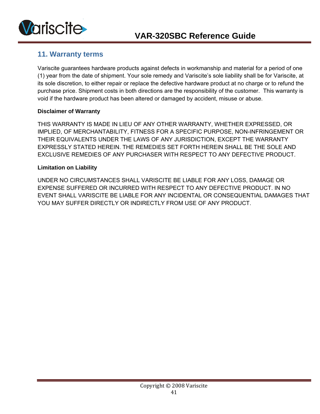

### **11. Warranty terms**

Variscite guarantees hardware products against defects in workmanship and material for a period of one (1) year from the date of shipment. Your sole remedy and Variscite's sole liability shall be for Variscite, at its sole discretion, to either repair or replace the defective hardware product at no charge or to refund the purchase price. Shipment costs in both directions are the responsibility of the customer. This warranty is void if the hardware product has been altered or damaged by accident, misuse or abuse.

#### **Disclaimer of Warranty**

THIS WARRANTY IS MADE IN LIEU OF ANY OTHER WARRANTY, WHETHER EXPRESSED, OR IMPLIED, OF MERCHANTABILITY, FITNESS FOR A SPECIFIC PURPOSE, NON-INFRINGEMENT OR THEIR EQUIVALENTS UNDER THE LAWS OF ANY JURISDICTION, EXCEPT THE WARRANTY EXPRESSLY STATED HEREIN. THE REMEDIES SET FORTH HEREIN SHALL BE THE SOLE AND EXCLUSIVE REMEDIES OF ANY PURCHASER WITH RESPECT TO ANY DEFECTIVE PRODUCT.

#### **Limitation on Liability**

UNDER NO CIRCUMSTANCES SHALL VARISCITE BE LIABLE FOR ANY LOSS, DAMAGE OR EXPENSE SUFFERED OR INCURRED WITH RESPECT TO ANY DEFECTIVE PRODUCT. IN NO EVENT SHALL VARISCITE BE LIABLE FOR ANY INCIDENTAL OR CONSEQUENTIAL DAMAGES THAT YOU MAY SUFFER DIRECTLY OR INDIRECTLY FROM USE OF ANY PRODUCT.